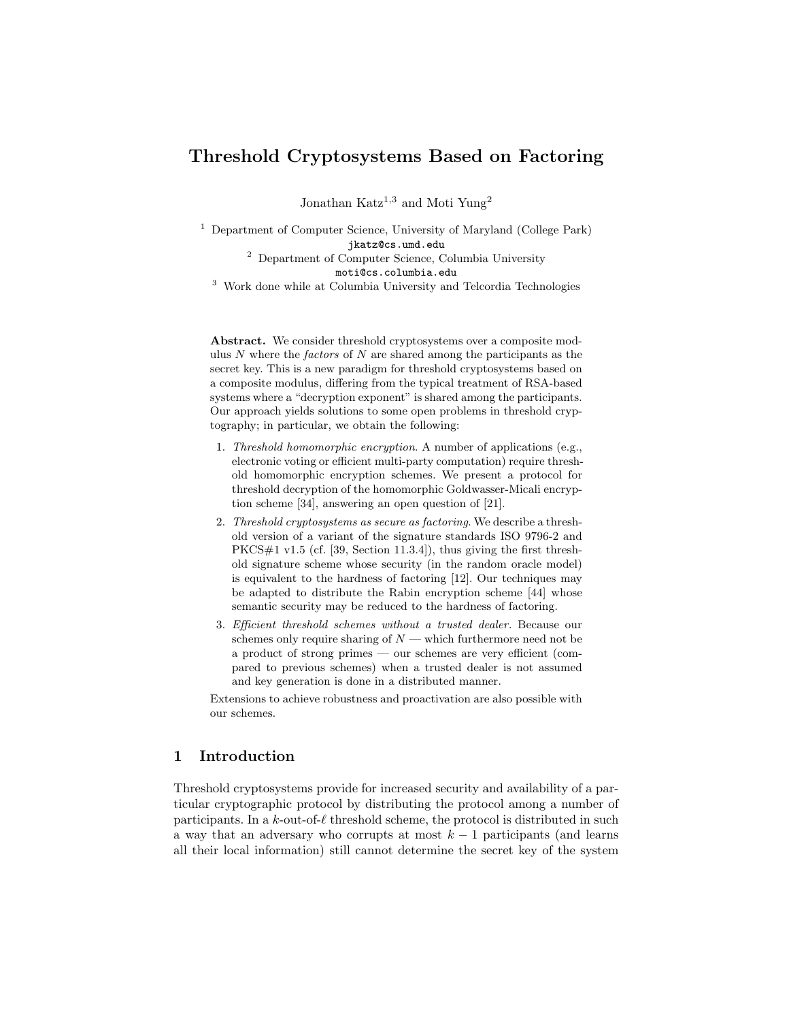# Threshold Cryptosystems Based on Factoring

Jonathan Katz<sup>1,3</sup> and Moti Yung<sup>2</sup>

<sup>1</sup> Department of Computer Science, University of Maryland (College Park) jkatz@cs.umd.edu <sup>2</sup> Department of Computer Science, Columbia University moti@cs.columbia.edu

<sup>3</sup> Work done while at Columbia University and Telcordia Technologies

Abstract. We consider threshold cryptosystems over a composite modulus  $N$  where the *factors* of  $N$  are shared among the participants as the secret key. This is a new paradigm for threshold cryptosystems based on a composite modulus, differing from the typical treatment of RSA-based systems where a "decryption exponent" is shared among the participants. Our approach yields solutions to some open problems in threshold cryptography; in particular, we obtain the following:

- 1. Threshold homomorphic encryption. A number of applications (e.g., electronic voting or efficient multi-party computation) require threshold homomorphic encryption schemes. We present a protocol for threshold decryption of the homomorphic Goldwasser-Micali encryption scheme [34], answering an open question of [21].
- 2. Threshold cryptosystems as secure as factoring. We describe a threshold version of a variant of the signature standards ISO 9796-2 and PKCS#1 v1.5 (cf. [39, Section 11.3.4]), thus giving the first threshold signature scheme whose security (in the random oracle model) is equivalent to the hardness of factoring [12]. Our techniques may be adapted to distribute the Rabin encryption scheme [44] whose semantic security may be reduced to the hardness of factoring.
- 3. Efficient threshold schemes without a trusted dealer. Because our schemes only require sharing of  $N$  — which furthermore need not be a product of strong primes — our schemes are very efficient (compared to previous schemes) when a trusted dealer is not assumed and key generation is done in a distributed manner.

Extensions to achieve robustness and proactivation are also possible with our schemes.

# 1 Introduction

Threshold cryptosystems provide for increased security and availability of a particular cryptographic protocol by distributing the protocol among a number of participants. In a k-out-of- $\ell$  threshold scheme, the protocol is distributed in such a way that an adversary who corrupts at most  $k-1$  participants (and learns all their local information) still cannot determine the secret key of the system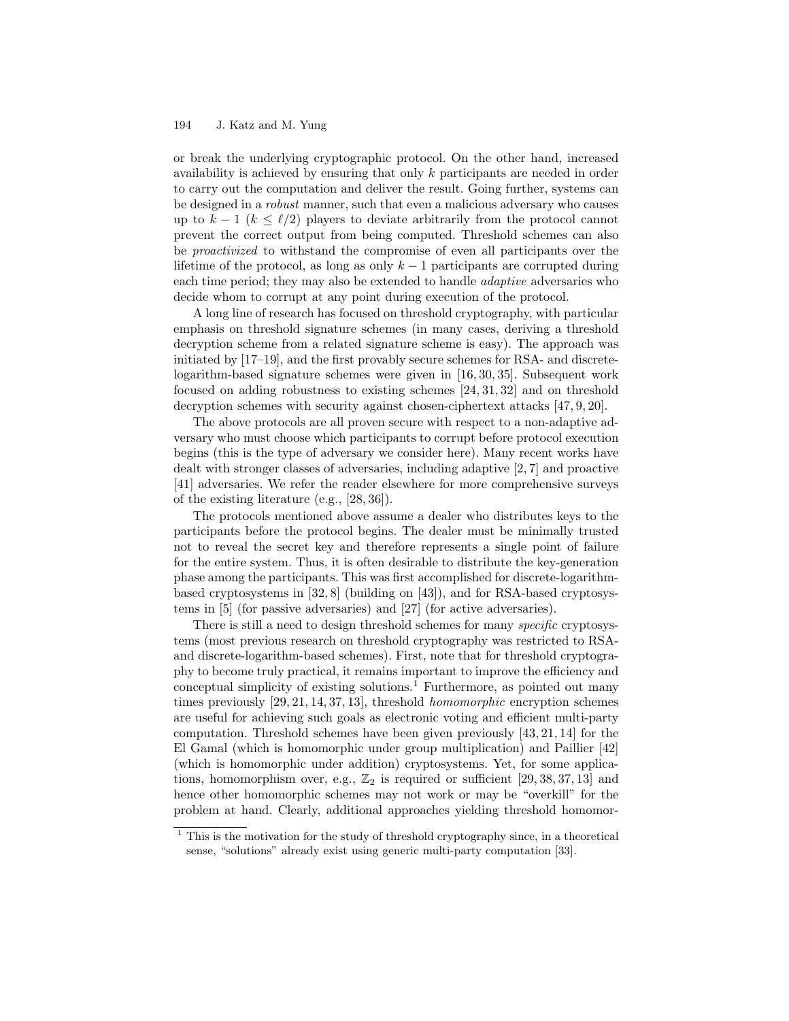or break the underlying cryptographic protocol. On the other hand, increased availability is achieved by ensuring that only k participants are needed in order to carry out the computation and deliver the result. Going further, systems can be designed in a robust manner, such that even a malicious adversary who causes up to  $k - 1$  ( $k \leq \ell/2$ ) players to deviate arbitrarily from the protocol cannot prevent the correct output from being computed. Threshold schemes can also be proactivized to withstand the compromise of even all participants over the lifetime of the protocol, as long as only  $k-1$  participants are corrupted during each time period; they may also be extended to handle *adaptive* adversaries who decide whom to corrupt at any point during execution of the protocol.

A long line of research has focused on threshold cryptography, with particular emphasis on threshold signature schemes (in many cases, deriving a threshold decryption scheme from a related signature scheme is easy). The approach was initiated by [17–19], and the first provably secure schemes for RSA- and discretelogarithm-based signature schemes were given in [16, 30, 35]. Subsequent work focused on adding robustness to existing schemes [24, 31, 32] and on threshold decryption schemes with security against chosen-ciphertext attacks [47, 9, 20].

The above protocols are all proven secure with respect to a non-adaptive adversary who must choose which participants to corrupt before protocol execution begins (this is the type of adversary we consider here). Many recent works have dealt with stronger classes of adversaries, including adaptive [2, 7] and proactive [41] adversaries. We refer the reader elsewhere for more comprehensive surveys of the existing literature (e.g., [28, 36]).

The protocols mentioned above assume a dealer who distributes keys to the participants before the protocol begins. The dealer must be minimally trusted not to reveal the secret key and therefore represents a single point of failure for the entire system. Thus, it is often desirable to distribute the key-generation phase among the participants. This was first accomplished for discrete-logarithmbased cryptosystems in [32, 8] (building on [43]), and for RSA-based cryptosystems in [5] (for passive adversaries) and [27] (for active adversaries).

There is still a need to design threshold schemes for many specific cryptosystems (most previous research on threshold cryptography was restricted to RSAand discrete-logarithm-based schemes). First, note that for threshold cryptography to become truly practical, it remains important to improve the efficiency and conceptual simplicity of existing solutions.<sup>1</sup> Furthermore, as pointed out many times previously [29, 21, 14, 37, 13], threshold homomorphic encryption schemes are useful for achieving such goals as electronic voting and efficient multi-party computation. Threshold schemes have been given previously [43, 21, 14] for the El Gamal (which is homomorphic under group multiplication) and Paillier [42] (which is homomorphic under addition) cryptosystems. Yet, for some applications, homomorphism over, e.g.,  $\mathbb{Z}_2$  is required or sufficient [29, 38, 37, 13] and hence other homomorphic schemes may not work or may be "overkill" for the problem at hand. Clearly, additional approaches yielding threshold homomor-

 $1$  This is the motivation for the study of threshold cryptography since, in a theoretical sense, "solutions" already exist using generic multi-party computation [33].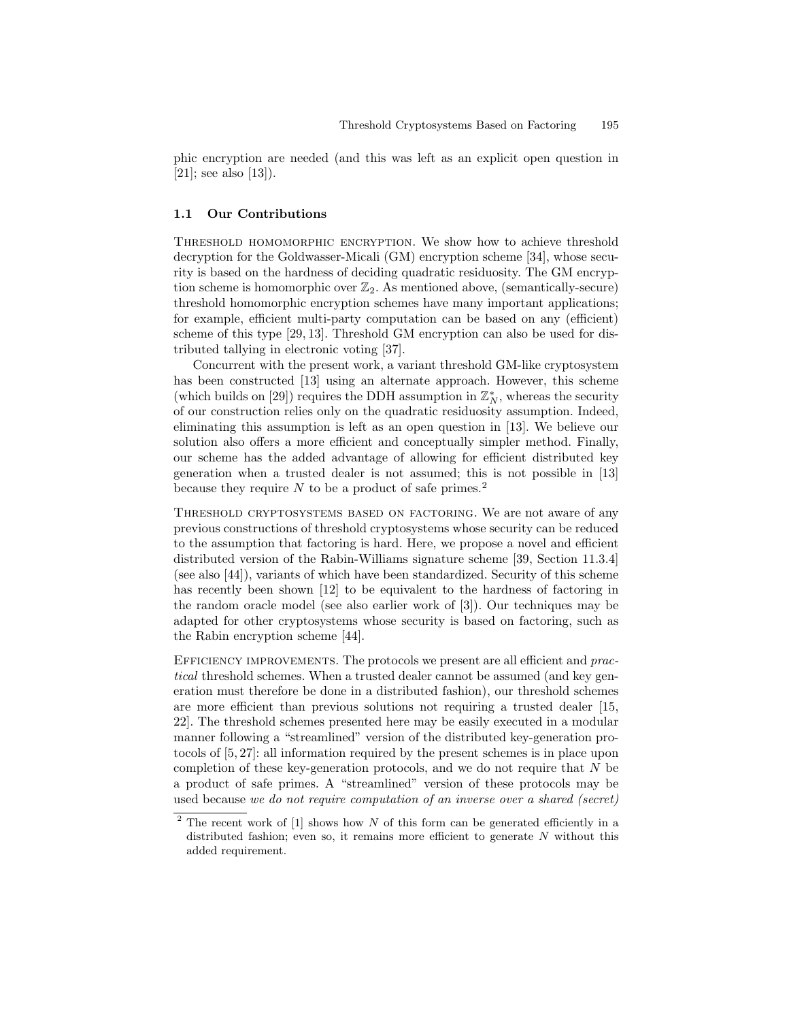phic encryption are needed (and this was left as an explicit open question in  $[21]$ ; see also  $[13]$ ).

#### 1.1 Our Contributions

Threshold homomorphic encryption. We show how to achieve threshold decryption for the Goldwasser-Micali (GM) encryption scheme [34], whose security is based on the hardness of deciding quadratic residuosity. The GM encryption scheme is homomorphic over  $\mathbb{Z}_2$ . As mentioned above, (semantically-secure) threshold homomorphic encryption schemes have many important applications; for example, efficient multi-party computation can be based on any (efficient) scheme of this type [29, 13]. Threshold GM encryption can also be used for distributed tallying in electronic voting [37].

Concurrent with the present work, a variant threshold GM-like cryptosystem has been constructed [13] using an alternate approach. However, this scheme (which builds on [29]) requires the DDH assumption in  $\mathbb{Z}_N^*$ , whereas the security of our construction relies only on the quadratic residuosity assumption. Indeed, eliminating this assumption is left as an open question in [13]. We believe our solution also offers a more efficient and conceptually simpler method. Finally, our scheme has the added advantage of allowing for efficient distributed key generation when a trusted dealer is not assumed; this is not possible in [13] because they require  $N$  to be a product of safe primes.<sup>2</sup>

Threshold cryptosystems based on factoring. We are not aware of any previous constructions of threshold cryptosystems whose security can be reduced to the assumption that factoring is hard. Here, we propose a novel and efficient distributed version of the Rabin-Williams signature scheme [39, Section 11.3.4] (see also [44]), variants of which have been standardized. Security of this scheme has recently been shown [12] to be equivalent to the hardness of factoring in the random oracle model (see also earlier work of [3]). Our techniques may be adapted for other cryptosystems whose security is based on factoring, such as the Rabin encryption scheme [44].

EFFICIENCY IMPROVEMENTS. The protocols we present are all efficient and *prac*tical threshold schemes. When a trusted dealer cannot be assumed (and key generation must therefore be done in a distributed fashion), our threshold schemes are more efficient than previous solutions not requiring a trusted dealer [15, 22]. The threshold schemes presented here may be easily executed in a modular manner following a "streamlined" version of the distributed key-generation protocols of [5, 27]: all information required by the present schemes is in place upon completion of these key-generation protocols, and we do not require that N be a product of safe primes. A "streamlined" version of these protocols may be used because we do not require computation of an inverse over a shared (secret)

 $2$  The recent work of [1] shows how N of this form can be generated efficiently in a distributed fashion; even so, it remains more efficient to generate  $N$  without this added requirement.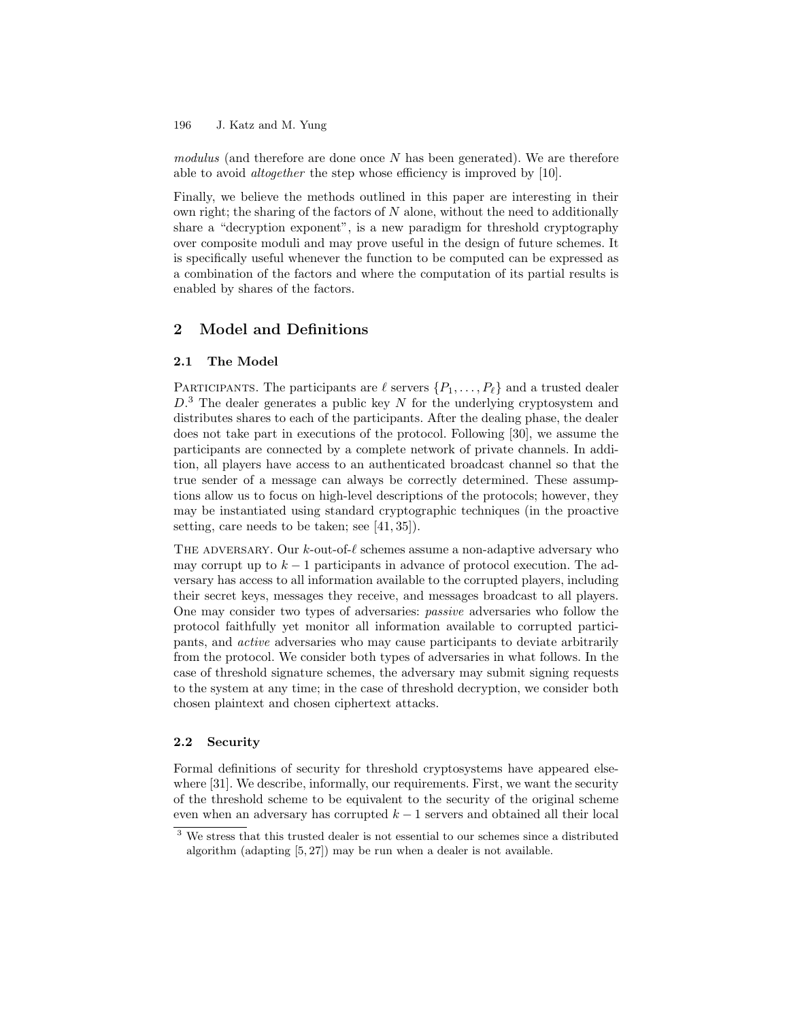modulus (and therefore are done once  $N$  has been generated). We are therefore able to avoid altogether the step whose efficiency is improved by [10].

Finally, we believe the methods outlined in this paper are interesting in their own right; the sharing of the factors of  $N$  alone, without the need to additionally share a "decryption exponent", is a new paradigm for threshold cryptography over composite moduli and may prove useful in the design of future schemes. It is specifically useful whenever the function to be computed can be expressed as a combination of the factors and where the computation of its partial results is enabled by shares of the factors.

# 2 Model and Definitions

#### 2.1 The Model

PARTICIPANTS. The participants are  $\ell$  servers  $\{P_1, \ldots, P_\ell\}$  and a trusted dealer  $D<sup>3</sup>$ . The dealer generates a public key N for the underlying cryptosystem and distributes shares to each of the participants. After the dealing phase, the dealer does not take part in executions of the protocol. Following [30], we assume the participants are connected by a complete network of private channels. In addition, all players have access to an authenticated broadcast channel so that the true sender of a message can always be correctly determined. These assumptions allow us to focus on high-level descriptions of the protocols; however, they may be instantiated using standard cryptographic techniques (in the proactive setting, care needs to be taken; see [41, 35]).

THE ADVERSARY. Our  $k$ -out-of- $\ell$  schemes assume a non-adaptive adversary who may corrupt up to  $k-1$  participants in advance of protocol execution. The adversary has access to all information available to the corrupted players, including their secret keys, messages they receive, and messages broadcast to all players. One may consider two types of adversaries: passive adversaries who follow the protocol faithfully yet monitor all information available to corrupted participants, and active adversaries who may cause participants to deviate arbitrarily from the protocol. We consider both types of adversaries in what follows. In the case of threshold signature schemes, the adversary may submit signing requests to the system at any time; in the case of threshold decryption, we consider both chosen plaintext and chosen ciphertext attacks.

#### 2.2 Security

Formal definitions of security for threshold cryptosystems have appeared elsewhere [31]. We describe, informally, our requirements. First, we want the security of the threshold scheme to be equivalent to the security of the original scheme even when an adversary has corrupted  $k - 1$  servers and obtained all their local

 $3$  We stress that this trusted dealer is not essential to our schemes since a distributed algorithm (adapting [5, 27]) may be run when a dealer is not available.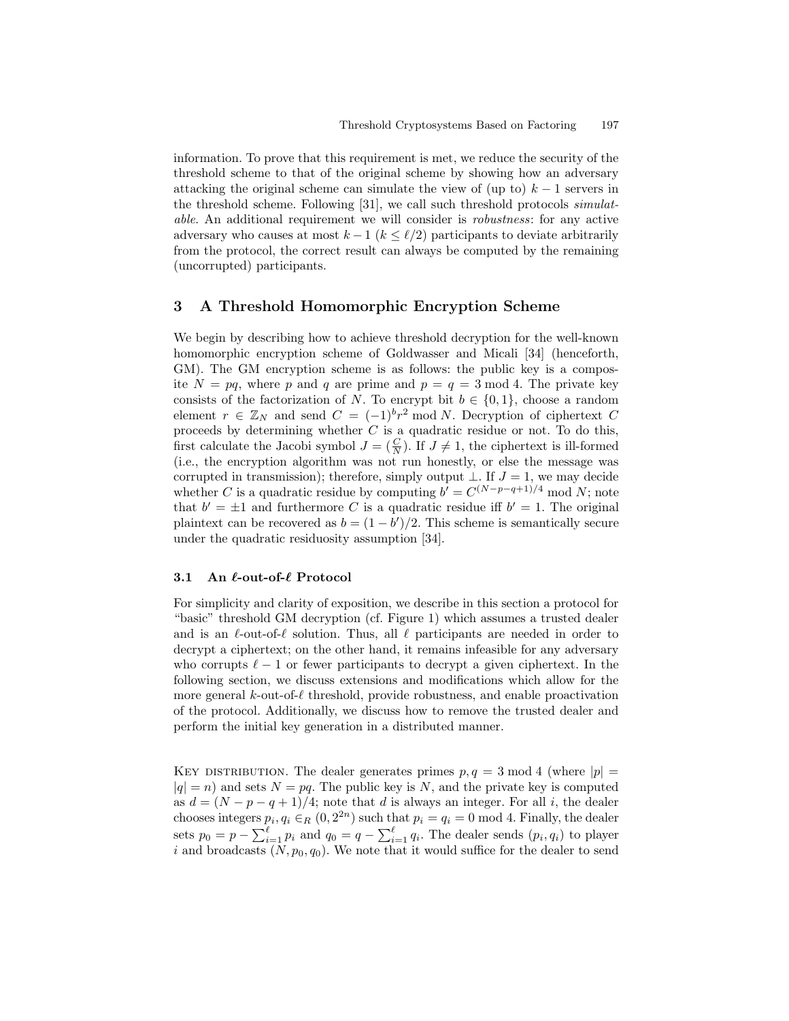information. To prove that this requirement is met, we reduce the security of the threshold scheme to that of the original scheme by showing how an adversary attacking the original scheme can simulate the view of (up to)  $k - 1$  servers in the threshold scheme. Following [31], we call such threshold protocols simulatable. An additional requirement we will consider is robustness: for any active adversary who causes at most  $k - 1$  ( $k \leq \ell/2$ ) participants to deviate arbitrarily from the protocol, the correct result can always be computed by the remaining (uncorrupted) participants.

#### 3 A Threshold Homomorphic Encryption Scheme

We begin by describing how to achieve threshold decryption for the well-known homomorphic encryption scheme of Goldwasser and Micali [34] (henceforth, GM). The GM encryption scheme is as follows: the public key is a composite  $N = pq$ , where p and q are prime and  $p = q = 3 \text{ mod } 4$ . The private key consists of the factorization of N. To encrypt bit  $b \in \{0, 1\}$ , choose a random element  $r \in \mathbb{Z}_N$  and send  $C = (-1)^{b}r^2 \mod N$ . Decryption of ciphertext C proceeds by determining whether  $C$  is a quadratic residue or not. To do this, first calculate the Jacobi symbol  $J = (\frac{C}{N})$ . If  $J \neq 1$ , the ciphertext is ill-formed (i.e., the encryption algorithm was not run honestly, or else the message was corrupted in transmission); therefore, simply output  $\bot$ . If  $J = 1$ , we may decide whether C is a quadratic residue by computing  $b' = C^{(N-p-q+1)/4} \mod N$ ; note that  $b' = \pm 1$  and furthermore C is a quadratic residue iff  $b' = 1$ . The original plaintext can be recovered as  $b = (1 - b')/2$ . This scheme is semantically secure under the quadratic residuosity assumption [34].

#### 3.1 An  $\ell$ -out-of- $\ell$  Protocol

For simplicity and clarity of exposition, we describe in this section a protocol for "basic" threshold GM decryption (cf. Figure 1) which assumes a trusted dealer and is an  $\ell$ -out-of- $\ell$  solution. Thus, all  $\ell$  participants are needed in order to decrypt a ciphertext; on the other hand, it remains infeasible for any adversary who corrupts  $\ell - 1$  or fewer participants to decrypt a given ciphertext. In the following section, we discuss extensions and modifications which allow for the more general  $k$ -out-of- $\ell$  threshold, provide robustness, and enable proactivation of the protocol. Additionally, we discuss how to remove the trusted dealer and perform the initial key generation in a distributed manner.

KEY DISTRIBUTION. The dealer generates primes  $p, q = 3 \text{ mod } 4$  (where  $|p| =$  $|q| = n$ ) and sets  $N = pq$ . The public key is N, and the private key is computed as  $d = (N - p - q + 1)/4$ ; note that d is always an integer. For all i, the dealer chooses integers  $p_i, q_i \in_R (0, 2^{2n})$  such that  $p_i = q_i = 0 \mod 4$ . Finally, the dealer sets  $p_0 = p - \sum_{i=1}^{\ell} p_i$  and  $q_0 = q - \sum_{i=1}^{\ell} q_i$ . The dealer sends  $(p_i, q_i)$  to player i and broadcasts  $(N, p_0, q_0)$ . We note that it would suffice for the dealer to send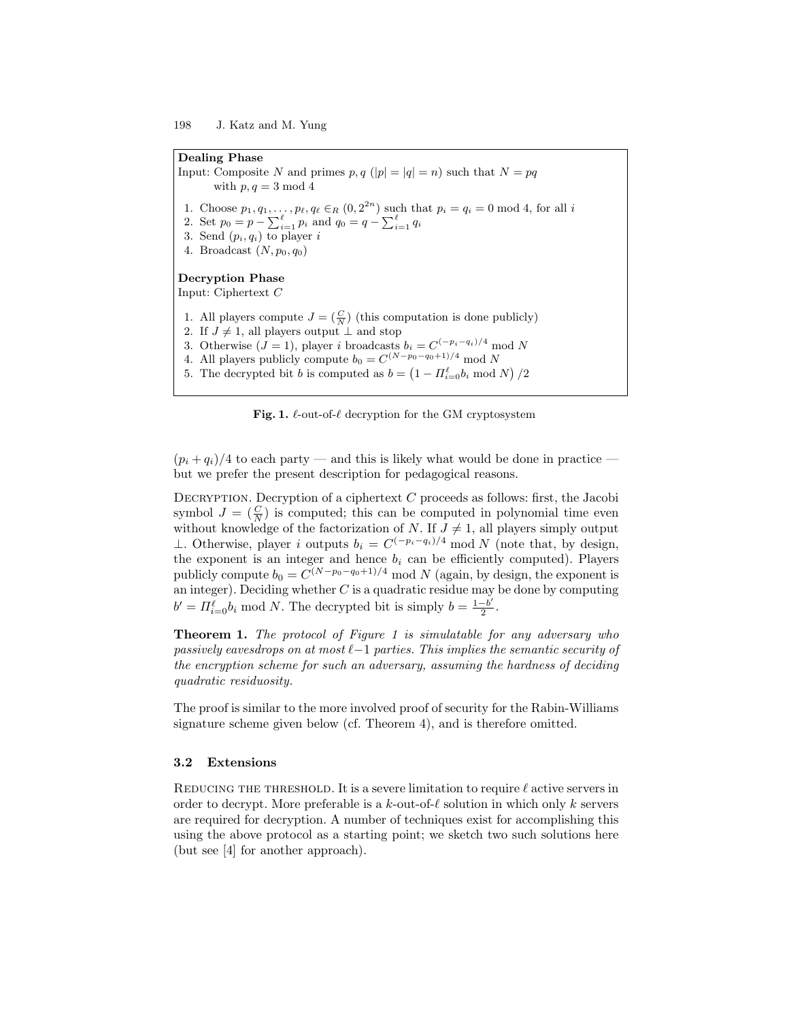Dealing Phase Input: Composite N and primes  $p, q(|p| = |q| = n)$  such that  $N = pq$ with  $p, q = 3 \mod 4$ 1. Choose  $p_1, q_1, \ldots, p_\ell, q_\ell \in_R (0, 2^{2n})$  such that  $p_i = q_i = 0 \mod 4$ , for all i 2. Set  $p_0 = p - \sum_{i=1}^{\ell} p_i$  and  $q_0 = q - \sum_{i=1}^{\ell} q_i$ 3. Send  $(p_i, q_i)$  to player i 4. Broadcast  $(N, p_0, q_0)$ Decryption Phase Input: Ciphertext C 1. All players compute  $J = \left(\frac{C}{N}\right)$  (this computation is done publicly) 2. If  $J \neq 1$ , all players output ⊥ and stop 3. Otherwise  $(J = 1)$ , player i broadcasts  $b_i = C^{(-p_i - q_i)/4} \mod N$ 4. All players publicly compute  $b_0 = C^{(N-p_0-q_0+1)/4} \mod N$ 5. The decrypted bit b is computed as  $b = \left(1 - \prod_{i=0}^{\ell} b_i \mod N\right)/2$ 

Fig. 1.  $\ell$ -out-of- $\ell$  decryption for the GM cryptosystem

 $(p_i+q_i)/4$  to each party — and this is likely what would be done in practice but we prefer the present description for pedagogical reasons.

DECRYPTION. Decryption of a ciphertext  $C$  proceeds as follows: first, the Jacobi symbol  $J = \left(\frac{C}{N}\right)$  is computed; this can be computed in polynomial time even without knowledge of the factorization of N. If  $J \neq 1$ , all players simply output ⊥. Otherwise, player *i* outputs  $b_i = C^{(-p_i - q_i)/4} \mod N$  (note that, by design, the exponent is an integer and hence  $b_i$  can be efficiently computed). Players publicly compute  $b_0 = C^{(N-p_0-q_0+1)/4} \mod N$  (again, by design, the exponent is an integer). Deciding whether  $C$  is a quadratic residue may be done by computing  $b' = \prod_{i=0}^{\ell} b_i \mod N$ . The decrypted bit is simply  $b = \frac{1-b'}{2}$ .

**Theorem 1.** The protocol of Figure 1 is simulatable for any adversary who passively eavesdrops on at most  $\ell-1$  parties. This implies the semantic security of the encryption scheme for such an adversary, assuming the hardness of deciding quadratic residuosity.

The proof is similar to the more involved proof of security for the Rabin-Williams signature scheme given below (cf. Theorem 4), and is therefore omitted.

#### 3.2 Extensions

REDUCING THE THRESHOLD. It is a severe limitation to require  $\ell$  active servers in order to decrypt. More preferable is a k-out-of- $\ell$  solution in which only k servers are required for decryption. A number of techniques exist for accomplishing this using the above protocol as a starting point; we sketch two such solutions here (but see [4] for another approach).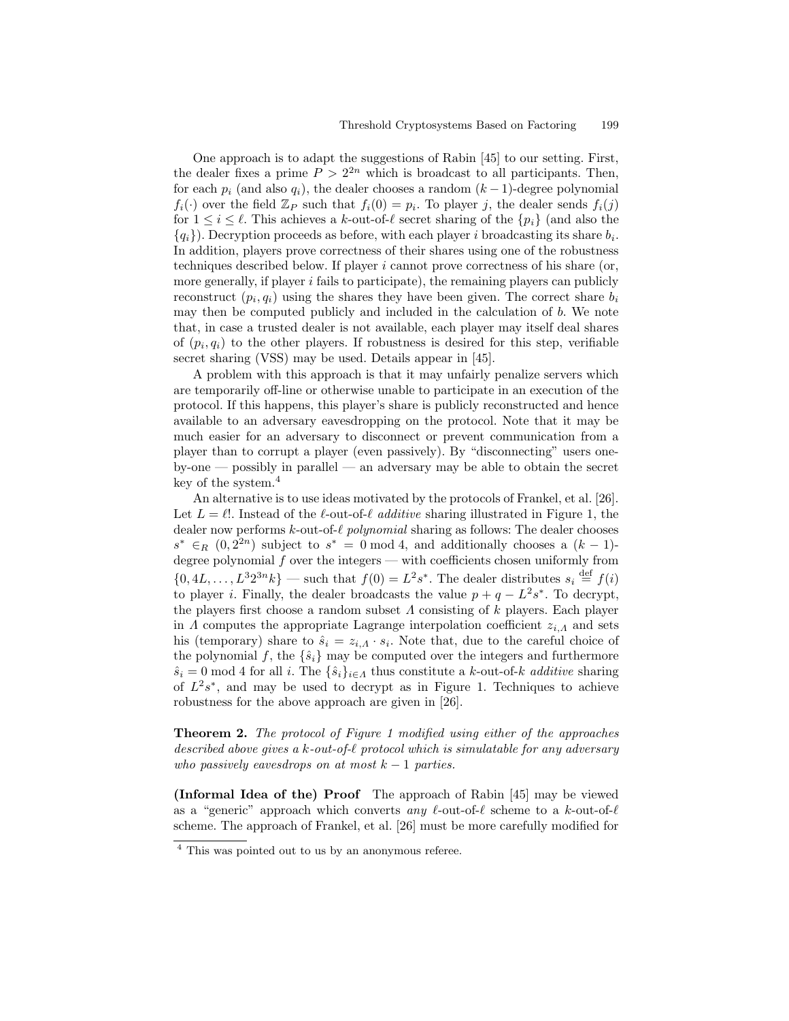One approach is to adapt the suggestions of Rabin [45] to our setting. First, the dealer fixes a prime  $P > 2^{2n}$  which is broadcast to all participants. Then, for each  $p_i$  (and also  $q_i$ ), the dealer chooses a random  $(k-1)$ -degree polynomial  $f_i(\cdot)$  over the field  $\mathbb{Z}_P$  such that  $f_i(0) = p_i$ . To player j, the dealer sends  $f_i(j)$ for  $1 \leq i \leq \ell$ . This achieves a k-out-of- $\ell$  secret sharing of the  $\{p_i\}$  (and also the  ${q_i}$ ). Decryption proceeds as before, with each player i broadcasting its share  $b_i$ . In addition, players prove correctness of their shares using one of the robustness techniques described below. If player i cannot prove correctness of his share (or, more generally, if player  $i$  fails to participate), the remaining players can publicly reconstruct  $(p_i, q_i)$  using the shares they have been given. The correct share  $b_i$ may then be computed publicly and included in the calculation of b. We note that, in case a trusted dealer is not available, each player may itself deal shares of  $(p_i, q_i)$  to the other players. If robustness is desired for this step, verifiable secret sharing (VSS) may be used. Details appear in [45].

A problem with this approach is that it may unfairly penalize servers which are temporarily off-line or otherwise unable to participate in an execution of the protocol. If this happens, this player's share is publicly reconstructed and hence available to an adversary eavesdropping on the protocol. Note that it may be much easier for an adversary to disconnect or prevent communication from a player than to corrupt a player (even passively). By "disconnecting" users oneby-one — possibly in parallel — an adversary may be able to obtain the secret key of the system.<sup>4</sup>

An alternative is to use ideas motivated by the protocols of Frankel, et al. [26]. Let  $L = \ell!$ . Instead of the  $\ell$ -out-of- $\ell$  additive sharing illustrated in Figure 1, the dealer now performs  $k$ -out-of- $\ell$  polynomial sharing as follows: The dealer chooses  $s^*$  ∈<sub>R</sub> (0, 2<sup>2n</sup>) subject to  $s^* = 0$  mod 4, and additionally chooses a  $(k-1)$ degree polynomial  $f$  over the integers — with coefficients chosen uniformly from  $\{0, 4L, \ldots, L^3 2^{3n} k\}$  — such that  $f(0) = L^2 s^*$ . The dealer distributes  $s_i \stackrel{\text{def}}{=} f(i)$ to player *i*. Finally, the dealer broadcasts the value  $p + q - L^2 s^*$ . To decrypt, the players first choose a random subset  $\Lambda$  consisting of  $k$  players. Each player in  $\Lambda$  computes the appropriate Lagrange interpolation coefficient  $z_{i,\Lambda}$  and sets his (temporary) share to  $\hat{s}_i = z_{i,A} \cdot s_i$ . Note that, due to the careful choice of the polynomial f, the  $\{\hat{s}_i\}$  may be computed over the integers and furthermore  $\hat{s}_i = 0 \mod 4$  for all i. The  $\{\hat{s}_i\}_{i \in \Lambda}$  thus constitute a k-out-of-k additive sharing of  $L^2s^*$ , and may be used to decrypt as in Figure 1. Techniques to achieve robustness for the above approach are given in [26].

Theorem 2. The protocol of Figure 1 modified using either of the approaches described above gives a k-out-of- $\ell$  protocol which is simulatable for any adversary who passively eavesdrops on at most  $k - 1$  parties.

(Informal Idea of the) Proof The approach of Rabin [45] may be viewed as a "generic" approach which converts any  $\ell$ -out-of- $\ell$  scheme to a k-out-of- $\ell$ scheme. The approach of Frankel, et al. [26] must be more carefully modified for

<sup>4</sup> This was pointed out to us by an anonymous referee.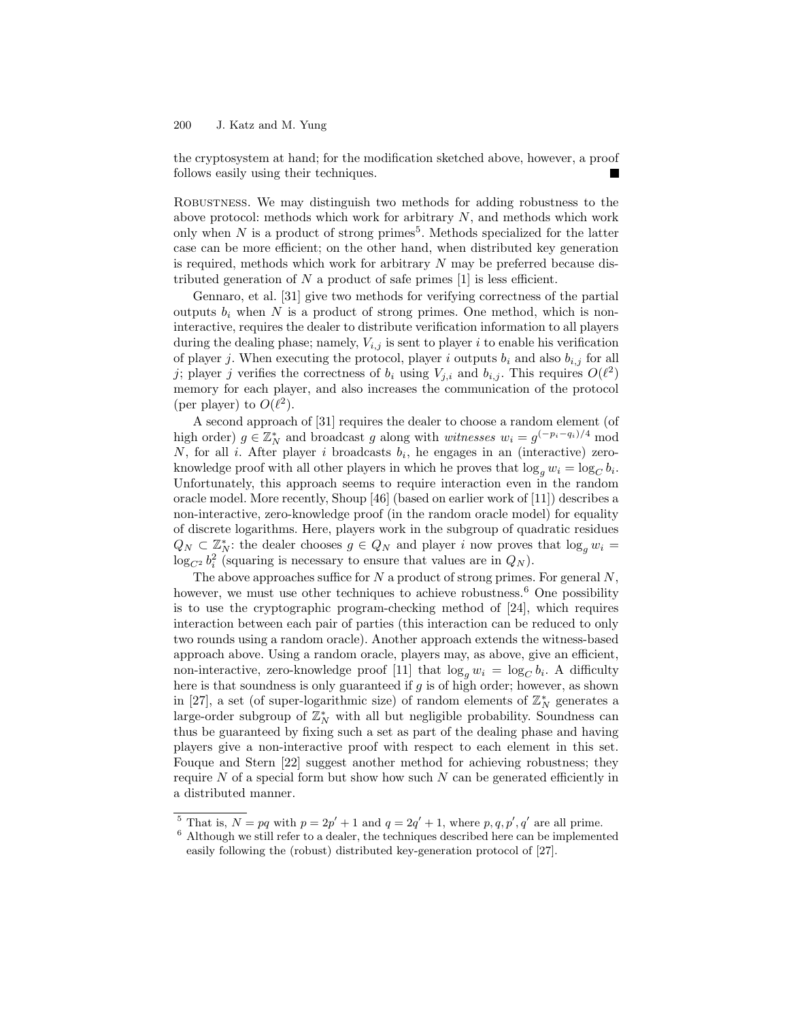the cryptosystem at hand; for the modification sketched above, however, a proof follows easily using their techniques.

Robustness. We may distinguish two methods for adding robustness to the above protocol: methods which work for arbitrary  $N$ , and methods which work only when  $N$  is a product of strong primes<sup>5</sup>. Methods specialized for the latter case can be more efficient; on the other hand, when distributed key generation is required, methods which work for arbitrary  $N$  may be preferred because distributed generation of  $N$  a product of safe primes  $[1]$  is less efficient.

Gennaro, et al. [31] give two methods for verifying correctness of the partial outputs  $b_i$  when N is a product of strong primes. One method, which is noninteractive, requires the dealer to distribute verification information to all players during the dealing phase; namely,  $V_{i,j}$  is sent to player i to enable his verification of player j. When executing the protocol, player i outputs  $b_i$  and also  $b_{i,j}$  for all j; player j verifies the correctness of  $b_i$  using  $V_{j,i}$  and  $b_{i,j}$ . This requires  $O(\ell^2)$ memory for each player, and also increases the communication of the protocol (per player) to  $O(\ell^2)$ .

A second approach of [31] requires the dealer to choose a random element (of high order)  $g \in \mathbb{Z}_N^*$  and broadcast g along with *witnesses*  $w_i = g^{(-p_i - q_i)/4} \mod$ N, for all i. After player i broadcasts  $b_i$ , he engages in an (interactive) zeroknowledge proof with all other players in which he proves that  $\log_g w_i = \log_C b_i$ . Unfortunately, this approach seems to require interaction even in the random oracle model. More recently, Shoup [46] (based on earlier work of [11]) describes a non-interactive, zero-knowledge proof (in the random oracle model) for equality of discrete logarithms. Here, players work in the subgroup of quadratic residues  $Q_N \subset \mathbb{Z}_N^*$ : the dealer chooses  $g \in Q_N$  and player i now proves that  $\log_g w_i =$  $log_{C_2} b_i^2$  (squaring is necessary to ensure that values are in  $Q_N$ ).

The above approaches suffice for  $N$  a product of strong primes. For general  $N$ , however, we must use other techniques to achieve robustness.<sup>6</sup> One possibility is to use the cryptographic program-checking method of [24], which requires interaction between each pair of parties (this interaction can be reduced to only two rounds using a random oracle). Another approach extends the witness-based approach above. Using a random oracle, players may, as above, give an efficient, non-interactive, zero-knowledge proof [11] that  $\log_g w_i = \log_C b_i$ . A difficulty here is that soundness is only guaranteed if  $g$  is of high order; however, as shown in [27], a set (of super-logarithmic size) of random elements of  $\mathbb{Z}_N^*$  generates a large-order subgroup of  $\mathbb{Z}_N^*$  with all but negligible probability. Soundness can thus be guaranteed by fixing such a set as part of the dealing phase and having players give a non-interactive proof with respect to each element in this set. Fouque and Stern [22] suggest another method for achieving robustness; they require  $N$  of a special form but show how such  $N$  can be generated efficiently in a distributed manner.

<sup>&</sup>lt;sup>5</sup> That is,  $N = pq$  with  $p = 2p' + 1$  and  $q = 2q' + 1$ , where  $p, q, p', q'$  are all prime.

 $6$  Although we still refer to a dealer, the techniques described here can be implemented easily following the (robust) distributed key-generation protocol of [27].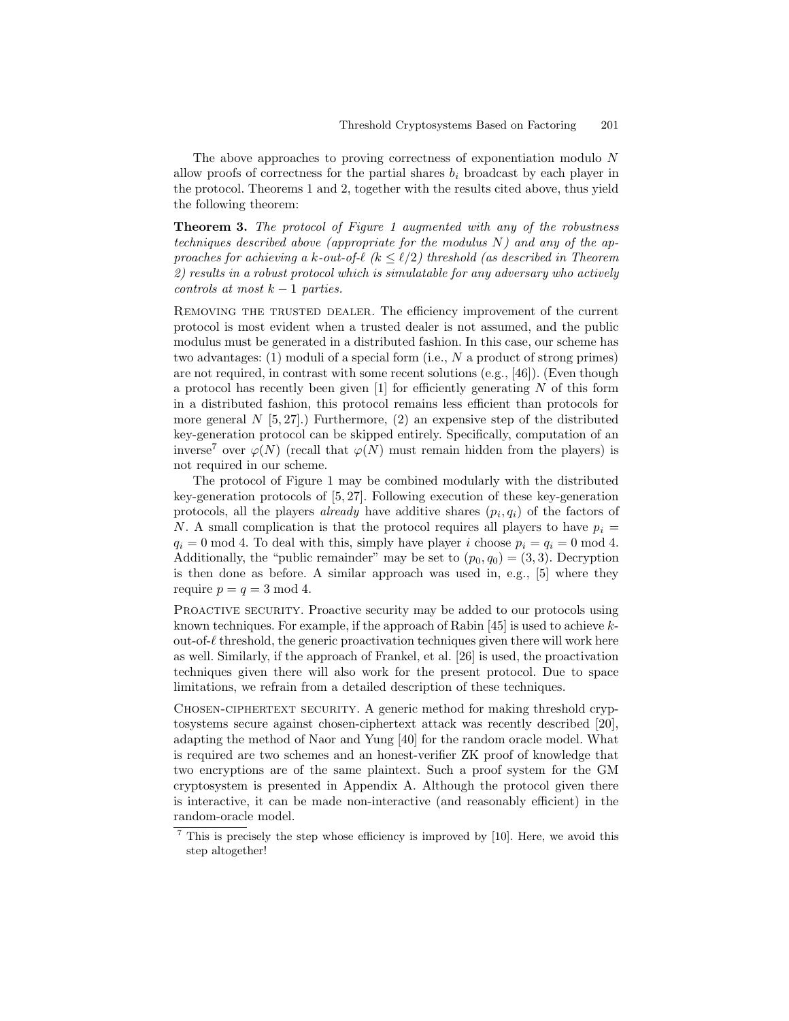The above approaches to proving correctness of exponentiation modulo N allow proofs of correctness for the partial shares  $b_i$  broadcast by each player in the protocol. Theorems 1 and 2, together with the results cited above, thus yield the following theorem:

Theorem 3. The protocol of Figure 1 augmented with any of the robustness techniques described above (appropriate for the modulus  $N$ ) and any of the approaches for achieving a k-out-of- $\ell$  (k  $\leq \ell/2$ ) threshold (as described in Theorem 2) results in a robust protocol which is simulatable for any adversary who actively controls at most  $k-1$  parties.

REMOVING THE TRUSTED DEALER. The efficiency improvement of the current protocol is most evident when a trusted dealer is not assumed, and the public modulus must be generated in a distributed fashion. In this case, our scheme has two advantages: (1) moduli of a special form (i.e., N a product of strong primes) are not required, in contrast with some recent solutions (e.g., [46]). (Even though a protocol has recently been given  $[1]$  for efficiently generating N of this form in a distributed fashion, this protocol remains less efficient than protocols for more general  $N$  [5, 27].) Furthermore, (2) an expensive step of the distributed key-generation protocol can be skipped entirely. Specifically, computation of an inverse<sup>7</sup> over  $\varphi(N)$  (recall that  $\varphi(N)$  must remain hidden from the players) is not required in our scheme.

The protocol of Figure 1 may be combined modularly with the distributed key-generation protocols of [5, 27]. Following execution of these key-generation protocols, all the players *already* have additive shares  $(p_i, q_i)$  of the factors of N. A small complication is that the protocol requires all players to have  $p_i =$  $q_i = 0 \text{ mod } 4$ . To deal with this, simply have player i choose  $p_i = q_i = 0 \text{ mod } 4$ . Additionally, the "public remainder" may be set to  $(p_0, q_0) = (3, 3)$ . Decryption is then done as before. A similar approach was used in, e.g., [5] where they require  $p = q = 3 \text{ mod } 4$ .

PROACTIVE SECURITY. Proactive security may be added to our protocols using known techniques. For example, if the approach of Rabin  $[45]$  is used to achieve kout-of- $\ell$  threshold, the generic proactivation techniques given there will work here as well. Similarly, if the approach of Frankel, et al. [26] is used, the proactivation techniques given there will also work for the present protocol. Due to space limitations, we refrain from a detailed description of these techniques.

CHOSEN-CIPHERTEXT SECURITY. A generic method for making threshold cryptosystems secure against chosen-ciphertext attack was recently described [20], adapting the method of Naor and Yung [40] for the random oracle model. What is required are two schemes and an honest-verifier ZK proof of knowledge that two encryptions are of the same plaintext. Such a proof system for the GM cryptosystem is presented in Appendix A. Although the protocol given there is interactive, it can be made non-interactive (and reasonably efficient) in the random-oracle model.

<sup>7</sup> This is precisely the step whose efficiency is improved by [10]. Here, we avoid this step altogether!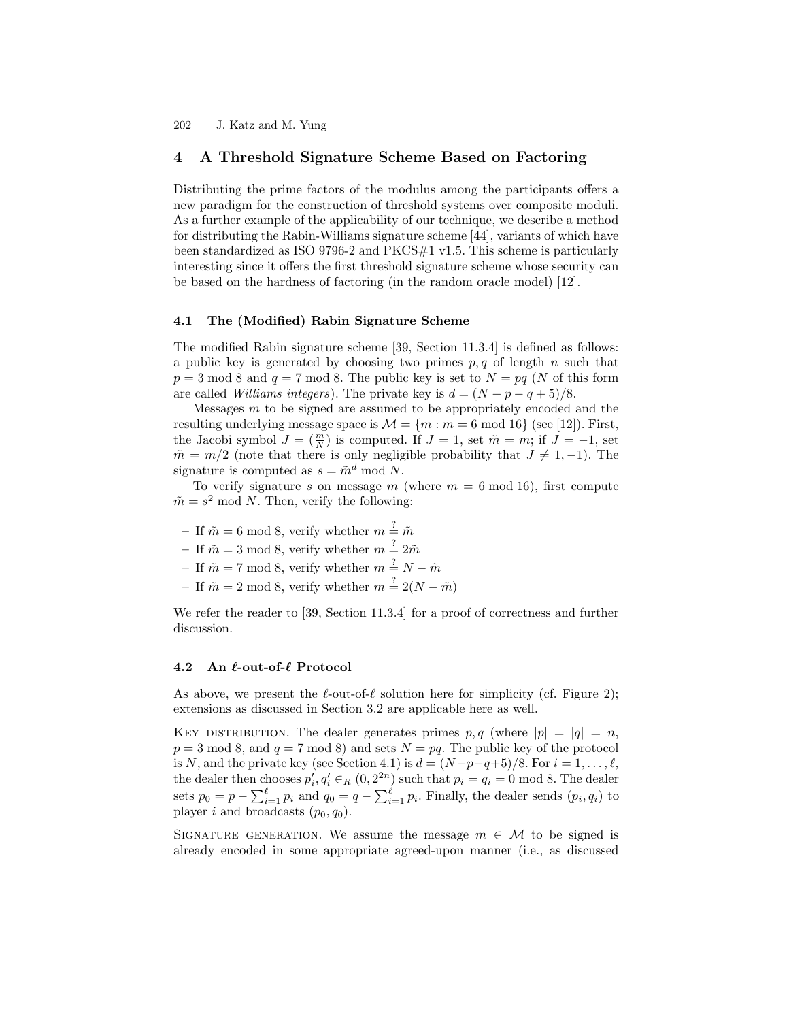## 4 A Threshold Signature Scheme Based on Factoring

Distributing the prime factors of the modulus among the participants offers a new paradigm for the construction of threshold systems over composite moduli. As a further example of the applicability of our technique, we describe a method for distributing the Rabin-Williams signature scheme [44], variants of which have been standardized as ISO 9796-2 and PKCS#1 v1.5. This scheme is particularly interesting since it offers the first threshold signature scheme whose security can be based on the hardness of factoring (in the random oracle model) [12].

#### 4.1 The (Modified) Rabin Signature Scheme

The modified Rabin signature scheme [39, Section 11.3.4] is defined as follows: a public key is generated by choosing two primes  $p, q$  of length n such that  $p = 3 \text{ mod } 8$  and  $q = 7 \text{ mod } 8$ . The public key is set to  $N = pq$  (N of this form are called *Williams integers*). The private key is  $d = (N - p - q + 5)/8$ .

Messages  $m$  to be signed are assumed to be appropriately encoded and the resulting underlying message space is  $\mathcal{M} = \{m : m = 6 \text{ mod } 16\}$  (see [12]). First, the Jacobi symbol  $J = \left(\frac{m}{N}\right)$  is computed. If  $J = 1$ , set  $\tilde{m} = m$ ; if  $J = -1$ , set  $\tilde{m} = m/2$  (note that there is only negligible probability that  $J \neq 1, -1$ ). The signature is computed as  $s = \tilde{m}^d \text{ mod } N$ .

To verify signature s on message m (where  $m = 6 \text{ mod } 16$ ), first compute  $\tilde{m} = s^2 \mod N$ . Then, verify the following:

- If  $\tilde{m} = 6 \mod 8$ , verify whether  $m \stackrel{?}{=} \tilde{m}$
- If  $\tilde{m} = 3 \mod 8$ , verify whether  $m \stackrel{?}{=} 2\tilde{m}$
- If  $\tilde{m} = 7 \mod 8$ , verify whether  $m = N \tilde{m}$
- If  $\tilde{m} = 2 \mod 8$ , verify whether  $m \stackrel{?}{=} 2(N \tilde{m})$

We refer the reader to [39, Section 11.3.4] for a proof of correctness and further discussion.

#### 4.2 An  $\ell$ -out-of- $\ell$  Protocol

As above, we present the  $\ell$ -out-of- $\ell$  solution here for simplicity (cf. Figure 2); extensions as discussed in Section 3.2 are applicable here as well.

KEY DISTRIBUTION. The dealer generates primes p, q (where  $|p| = |q| = n$ ,  $p = 3 \text{ mod } 8$ , and  $q = 7 \text{ mod } 8$ ) and sets  $N = pq$ . The public key of the protocol is N, and the private key (see Section 4.1) is  $d = (N-p-q+5)/8$ . For  $i = 1, \ldots, \ell$ , the dealer then chooses  $p'_i, q'_i \in_R (0, 2^{2n})$  such that  $p_i = q_i = 0 \mod 8$ . The dealer sets  $p_0 = p - \sum_{i=1}^{\ell} p_i$  and  $q_0 = q - \sum_{i=1}^{\ell} p_i$ . Finally, the dealer sends  $(p_i, q_i)$  to player i and broadcasts  $(p_0, q_0)$ .

SIGNATURE GENERATION. We assume the message  $m \in \mathcal{M}$  to be signed is already encoded in some appropriate agreed-upon manner (i.e., as discussed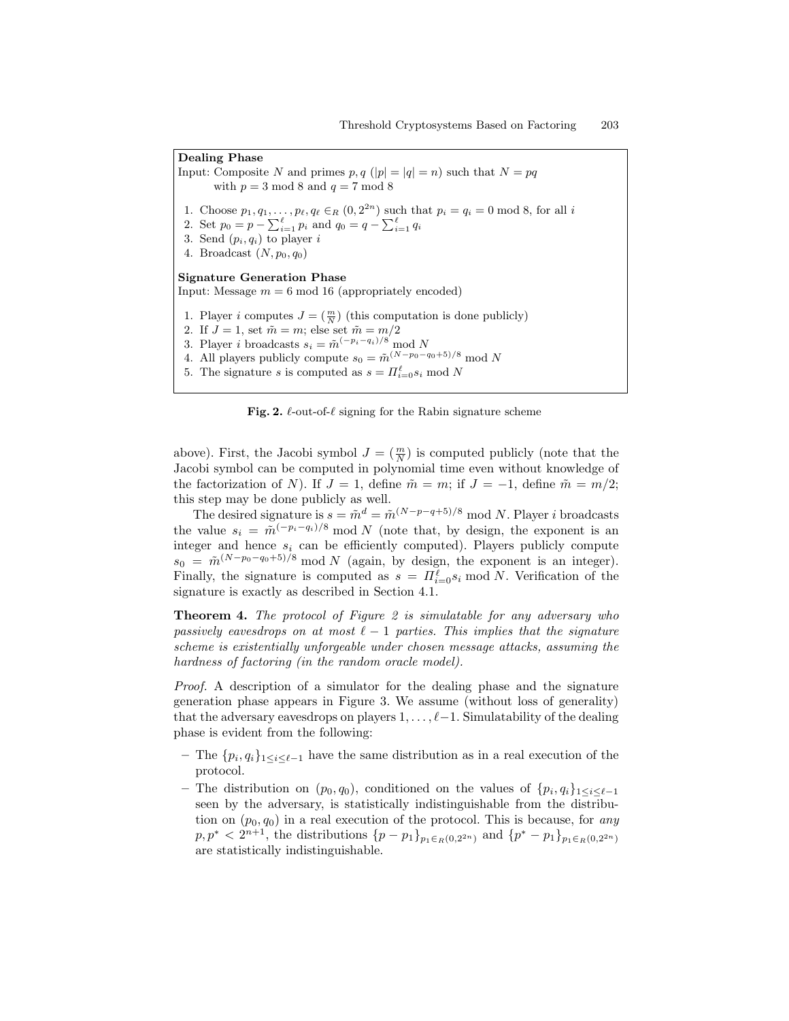# Dealing Phase

Input: Composite N and primes  $p, q(|p| = |q| = n)$  such that  $N = pq$ with  $p = 3 \mod 8$  and  $q = 7 \mod 8$ 1. Choose  $p_1, q_1, \ldots, p_\ell, q_\ell \in_R (0, 2^{2n})$  such that  $p_i = q_i = 0 \mod 8$ , for all i 2. Set  $p_0 = p - \sum_{i=1}^{\ell} p_i$  and  $q_0 = q - \sum_{i=1}^{\ell} q_i$ 3. Send  $(p_i, q_i)$  to player i 4. Broadcast  $(N, p_0, q_0)$ Signature Generation Phase Input: Message  $m = 6 \text{ mod } 16$  (appropriately encoded) 1. Player *i* computes  $J = \left(\frac{m}{N}\right)$  (this computation is done publicly) 2. If  $J = 1$ , set  $\tilde{m} = m$ ; else set  $\tilde{m} = m/2$ 3. Player i broadcasts  $s_i = \tilde{m}^{(-p_i - q_i)/8} \mod N$ 4. All players publicly compute  $s_0 = \tilde{m}^{(N-p_0-q_0+5)/8} \mod N$ 5. The signature s is computed as  $s = \prod_{i=0}^{\ell} s_i \mod N$ 

Fig. 2.  $\ell$ -out-of- $\ell$  signing for the Rabin signature scheme

above). First, the Jacobi symbol  $J = \left(\frac{m}{N}\right)$  is computed publicly (note that the Jacobi symbol can be computed in polynomial time even without knowledge of the factorization of N). If  $J = 1$ , define  $\tilde{m} = m$ ; if  $J = -1$ , define  $\tilde{m} = m/2$ ; this step may be done publicly as well.

The desired signature is  $s = \tilde{m}^d = \tilde{m}^{(N-p-q+5)/8} \mod N$ . Player *i* broadcasts the value  $s_i = \tilde{m}^{(-p_i - q_i)/8} \mod N$  (note that, by design, the exponent is an integer and hence  $s_i$  can be efficiently computed). Players publicly compute  $s_0 = \tilde{m}^{(N-p_0-q_0+5)/8}$  mod N (again, by design, the exponent is an integer). Finally, the signature is computed as  $s = \prod_{i=0}^{\ell} s_i \mod N$ . Verification of the signature is exactly as described in Section 4.1.

**Theorem 4.** The protocol of Figure 2 is simulatable for any adversary who passively eavesdrops on at most  $\ell - 1$  parties. This implies that the signature scheme is existentially unforgeable under chosen message attacks, assuming the hardness of factoring (in the random oracle model).

Proof. A description of a simulator for the dealing phase and the signature generation phase appears in Figure 3. We assume (without loss of generality) that the adversary eavesdrops on players  $1, \ldots, \ell-1$ . Simulatability of the dealing phase is evident from the following:

- The  $\{p_i, q_i\}_{1 \leq i \leq \ell-1}$  have the same distribution as in a real execution of the protocol.
- The distribution on  $(p_0, q_0)$ , conditioned on the values of  $\{p_i, q_i\}_{1 \leq i \leq \ell-1}$ seen by the adversary, is statistically indistinguishable from the distribution on  $(p_0, q_0)$  in a real execution of the protocol. This is because, for any  $p, p^* < 2^{n+1}$ , the distributions  $\{p - p_1\}_{p_1 \in R(0, 2^{2n})}$  and  $\{p^* - p_1\}_{p_1 \in R(0, 2^{2n})}$ are statistically indistinguishable.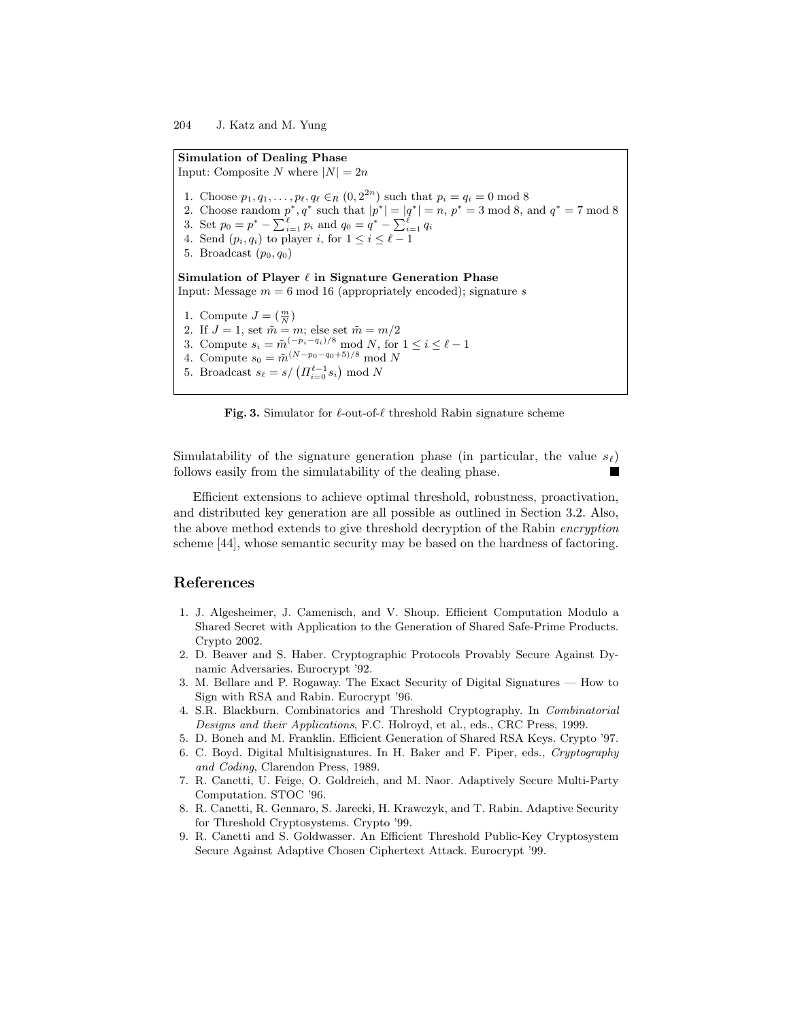Simulation of Dealing Phase Input: Composite N where  $|N| = 2n$ 1. Choose  $p_1, q_1, \ldots, p_\ell, q_\ell \in_R (0, 2^{2n})$  such that  $p_i = q_i = 0 \mod 8$ 2. Choose random  $p^*, q^*$  such that  $|p^*| = |q^*| = n$ ,  $p^* = 3 \mod 8$ , and  $q^* = 7 \mod 8$ 3. Set  $p_0 = p^* - \sum_{i=1}^{\ell} p_i$  and  $q_0 = q^* - \sum_{i=1}^{\ell} q_i$ 4. Send  $(p_i, q_i)$  to player i, for  $1 \leq i \leq \ell - 1$ 5. Broadcast  $(p_0, q_0)$ Simulation of Player  $\ell$  in Signature Generation Phase Input: Message  $m = 6 \text{ mod } 16$  (appropriately encoded); signature s 1. Compute  $J = \left(\frac{m}{N}\right)$ 2. If  $J = 1$ , set  $\tilde{m} = m$ ; else set  $\tilde{m} = m/2$ 3. Compute  $s_i = \tilde{m}^{(-p_i - q_i)/8} \text{ mod } N$ , for  $1 \leq i \leq \ell - 1$ 4. Compute  $s_0 = \tilde{m}^{(N-p_0-q_0+5)/8} \mod N$ 5. Broadcast  $s_{\ell} = s / ( \prod_{i=0}^{\ell-1} s_i ) \mod N$ 

Fig. 3. Simulator for  $\ell$ -out-of- $\ell$  threshold Rabin signature scheme

Simulatability of the signature generation phase (in particular, the value  $s_{\ell}$ ) follows easily from the simulatability of the dealing phase.

Efficient extensions to achieve optimal threshold, robustness, proactivation, and distributed key generation are all possible as outlined in Section 3.2. Also, the above method extends to give threshold decryption of the Rabin encryption scheme [44], whose semantic security may be based on the hardness of factoring.

## References

- 1. J. Algesheimer, J. Camenisch, and V. Shoup. Efficient Computation Modulo a Shared Secret with Application to the Generation of Shared Safe-Prime Products. Crypto 2002.
- 2. D. Beaver and S. Haber. Cryptographic Protocols Provably Secure Against Dynamic Adversaries. Eurocrypt '92.
- 3. M. Bellare and P. Rogaway. The Exact Security of Digital Signatures How to Sign with RSA and Rabin. Eurocrypt '96.
- 4. S.R. Blackburn. Combinatorics and Threshold Cryptography. In Combinatorial Designs and their Applications, F.C. Holroyd, et al., eds., CRC Press, 1999.
- 5. D. Boneh and M. Franklin. Efficient Generation of Shared RSA Keys. Crypto '97.
- 6. C. Boyd. Digital Multisignatures. In H. Baker and F. Piper, eds., Cryptography and Coding, Clarendon Press, 1989.
- 7. R. Canetti, U. Feige, O. Goldreich, and M. Naor. Adaptively Secure Multi-Party Computation. STOC '96.
- 8. R. Canetti, R. Gennaro, S. Jarecki, H. Krawczyk, and T. Rabin. Adaptive Security for Threshold Cryptosystems. Crypto '99.
- 9. R. Canetti and S. Goldwasser. An Efficient Threshold Public-Key Cryptosystem Secure Against Adaptive Chosen Ciphertext Attack. Eurocrypt '99.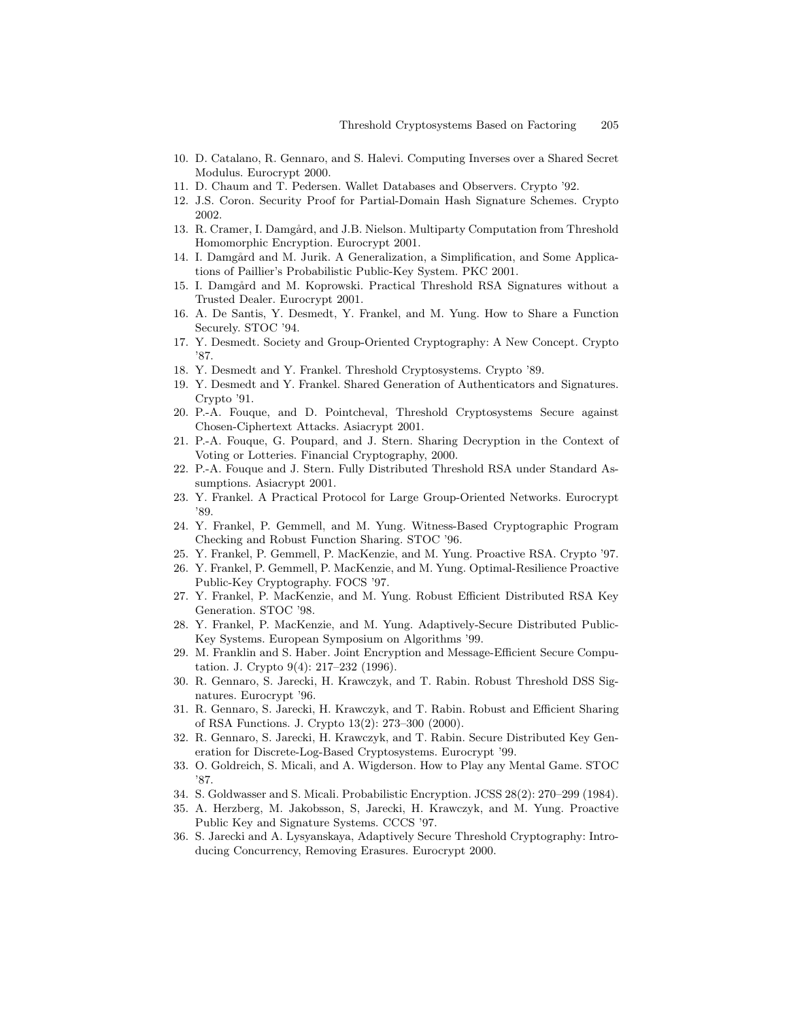- 10. D. Catalano, R. Gennaro, and S. Halevi. Computing Inverses over a Shared Secret Modulus. Eurocrypt 2000.
- 11. D. Chaum and T. Pedersen. Wallet Databases and Observers. Crypto '92.
- 12. J.S. Coron. Security Proof for Partial-Domain Hash Signature Schemes. Crypto 2002.
- 13. R. Cramer, I. Damgård, and J.B. Nielson. Multiparty Computation from Threshold Homomorphic Encryption. Eurocrypt 2001.
- 14. I. Damgård and M. Jurik. A Generalization, a Simplification, and Some Applications of Paillier's Probabilistic Public-Key System. PKC 2001.
- 15. I. Damgård and M. Koprowski. Practical Threshold RSA Signatures without a Trusted Dealer. Eurocrypt 2001.
- 16. A. De Santis, Y. Desmedt, Y. Frankel, and M. Yung. How to Share a Function Securely. STOC '94.
- 17. Y. Desmedt. Society and Group-Oriented Cryptography: A New Concept. Crypto '87.
- 18. Y. Desmedt and Y. Frankel. Threshold Cryptosystems. Crypto '89.
- 19. Y. Desmedt and Y. Frankel. Shared Generation of Authenticators and Signatures. Crypto '91.
- 20. P.-A. Fouque, and D. Pointcheval, Threshold Cryptosystems Secure against Chosen-Ciphertext Attacks. Asiacrypt 2001.
- 21. P.-A. Fouque, G. Poupard, and J. Stern. Sharing Decryption in the Context of Voting or Lotteries. Financial Cryptography, 2000.
- 22. P.-A. Fouque and J. Stern. Fully Distributed Threshold RSA under Standard Assumptions. Asiacrypt 2001.
- 23. Y. Frankel. A Practical Protocol for Large Group-Oriented Networks. Eurocrypt '89.
- 24. Y. Frankel, P. Gemmell, and M. Yung. Witness-Based Cryptographic Program Checking and Robust Function Sharing. STOC '96.
- 25. Y. Frankel, P. Gemmell, P. MacKenzie, and M. Yung. Proactive RSA. Crypto '97.
- 26. Y. Frankel, P. Gemmell, P. MacKenzie, and M. Yung. Optimal-Resilience Proactive Public-Key Cryptography. FOCS '97.
- 27. Y. Frankel, P. MacKenzie, and M. Yung. Robust Efficient Distributed RSA Key Generation. STOC '98.
- 28. Y. Frankel, P. MacKenzie, and M. Yung. Adaptively-Secure Distributed Public-Key Systems. European Symposium on Algorithms '99.
- 29. M. Franklin and S. Haber. Joint Encryption and Message-Efficient Secure Computation. J. Crypto 9(4): 217–232 (1996).
- 30. R. Gennaro, S. Jarecki, H. Krawczyk, and T. Rabin. Robust Threshold DSS Signatures. Eurocrypt '96.
- 31. R. Gennaro, S. Jarecki, H. Krawczyk, and T. Rabin. Robust and Efficient Sharing of RSA Functions. J. Crypto 13(2): 273–300 (2000).
- 32. R. Gennaro, S. Jarecki, H. Krawczyk, and T. Rabin. Secure Distributed Key Generation for Discrete-Log-Based Cryptosystems. Eurocrypt '99.
- 33. O. Goldreich, S. Micali, and A. Wigderson. How to Play any Mental Game. STOC '87.
- 34. S. Goldwasser and S. Micali. Probabilistic Encryption. JCSS 28(2): 270–299 (1984).
- 35. A. Herzberg, M. Jakobsson, S, Jarecki, H. Krawczyk, and M. Yung. Proactive Public Key and Signature Systems. CCCS '97.
- 36. S. Jarecki and A. Lysyanskaya, Adaptively Secure Threshold Cryptography: Introducing Concurrency, Removing Erasures. Eurocrypt 2000.